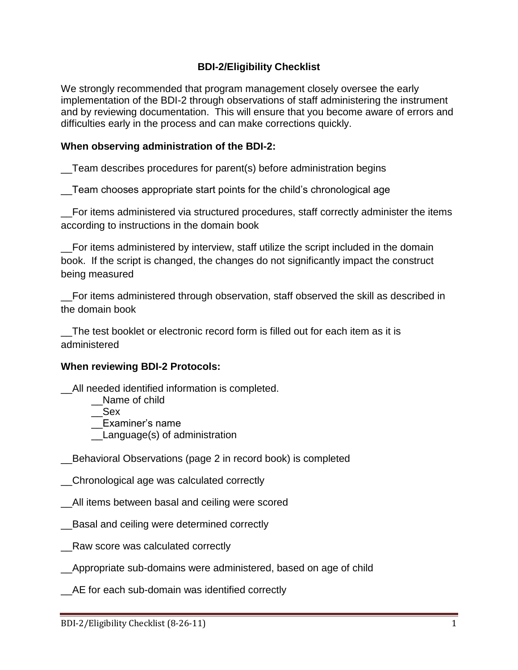## **BDI-2/Eligibility Checklist**

We strongly recommended that program management closely oversee the early implementation of the BDI-2 through observations of staff administering the instrument and by reviewing documentation. This will ensure that you become aware of errors and difficulties early in the process and can make corrections quickly.

#### **When observing administration of the BDI-2:**

\_\_Team describes procedures for parent(s) before administration begins

Team chooses appropriate start points for the child's chronological age

\_\_For items administered via structured procedures, staff correctly administer the items according to instructions in the domain book

For items administered by interview, staff utilize the script included in the domain book. If the script is changed, the changes do not significantly impact the construct being measured

\_\_For items administered through observation, staff observed the skill as described in the domain book

\_\_The test booklet or electronic record form is filled out for each item as it is administered

#### **When reviewing BDI-2 Protocols:**

\_\_All needed identified information is completed.

- Name of child
- $\overline{\phantom{a}}$  Sex

\_\_Examiner's name

\_\_Language(s) of administration

\_\_Behavioral Observations (page 2 in record book) is completed

\_\_Chronological age was calculated correctly

\_\_All items between basal and ceiling were scored

- \_\_Basal and ceiling were determined correctly
- Raw score was calculated correctly
- \_\_Appropriate sub-domains were administered, based on age of child

\_\_AE for each sub-domain was identified correctly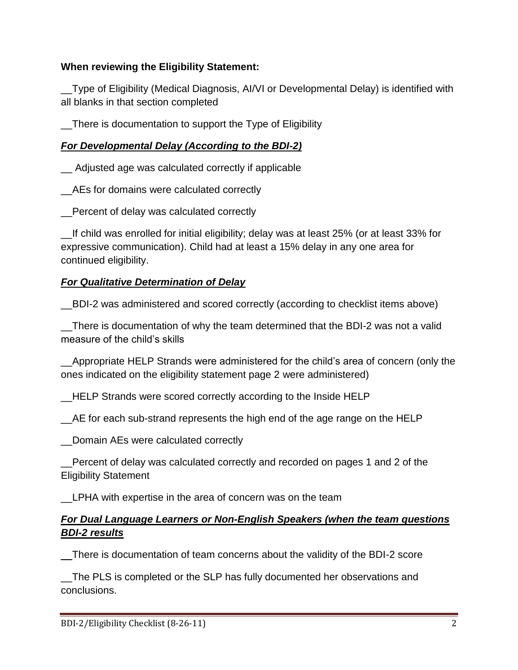## **When reviewing the Eligibility Statement:**

\_\_Type of Eligibility (Medical Diagnosis, AI/VI or Developmental Delay) is identified with all blanks in that section completed

\_\_There is documentation to support the Type of Eligibility

# *For Developmental Delay (According to the BDI-2)*

\_\_ Adjusted age was calculated correctly if applicable

\_\_AEs for domains were calculated correctly

\_\_Percent of delay was calculated correctly

\_\_If child was enrolled for initial eligibility; delay was at least 25% (or at least 33% for expressive communication). Child had at least a 15% delay in any one area for continued eligibility.

# *For Qualitative Determination of Delay*

\_\_BDI-2 was administered and scored correctly (according to checklist items above)

\_\_There is documentation of why the team determined that the BDI-2 was not a valid measure of the child's skills

\_\_Appropriate HELP Strands were administered for the child's area of concern (only the ones indicated on the eligibility statement page 2 were administered)

\_\_HELP Strands were scored correctly according to the Inside HELP

\_\_AE for each sub-strand represents the high end of the age range on the HELP

\_\_Domain AEs were calculated correctly

\_\_Percent of delay was calculated correctly and recorded on pages 1 and 2 of the Eligibility Statement

\_\_LPHA with expertise in the area of concern was on the team

## *For Dual Language Learners or Non-English Speakers (when the team questions BDI-2 results*

\_\_There is documentation of team concerns about the validity of the BDI-2 score

\_\_The PLS is completed or the SLP has fully documented her observations and conclusions.